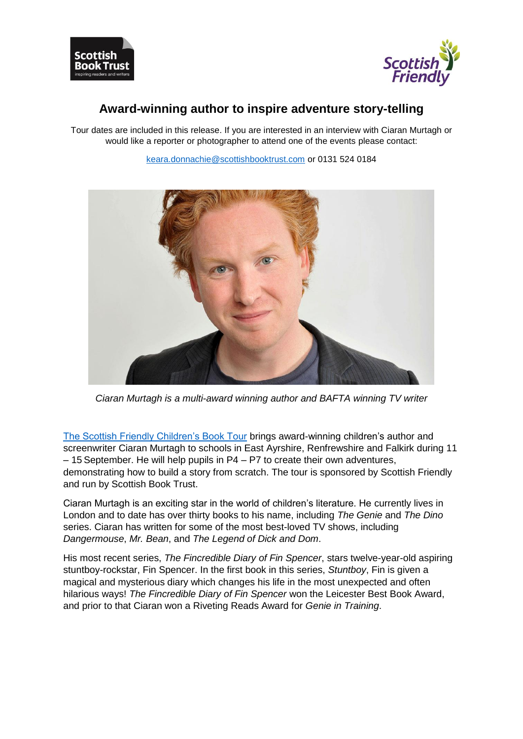



# **Award-winning author to inspire adventure story-telling**

Tour dates are included in this release. If you are interested in an interview with Ciaran Murtagh or would like a reporter or photographer to attend one of the events please contact:



[keara.donnachie@scottishbooktrust.com](mailto:keara.donnachie@scottishbooktrust.com) or 0131 524 0184

*Ciaran Murtagh is a multi-award winning author and BAFTA winning TV writer*

[The Scottish Friendly Children's Book Tour](http://www.scottishbooktrust.com/learning/teachers-librarians/scottish-friendly-childrens-book-tour/upcoming-tours/ciaran-murtagh) brings award-winning children's author and screenwriter Ciaran Murtagh to schools in East Ayrshire, Renfrewshire and Falkirk during 11 – 15 September. He will help pupils in P4 – P7 to create their own adventures, demonstrating how to build a story from scratch. The tour is sponsored by Scottish Friendly and run by Scottish Book Trust.

Ciaran Murtagh is an exciting star in the world of children's literature. He currently lives in London and to date has over thirty books to his name, including *The Genie* and *The Dino* series. Ciaran has written for some of the most best-loved TV shows, including *Dangermouse*, *Mr. Bean*, and *The Legend of Dick and Dom*.

His most recent series, *The Fincredible Diary of Fin Spencer*, stars twelve-year-old aspiring stuntboy-rockstar, Fin Spencer. In the first book in this series, *Stuntboy*, Fin is given a magical and mysterious diary which changes his life in the most unexpected and often hilarious ways! *The Fincredible Diary of Fin Spencer* won the Leicester Best Book Award, and prior to that Ciaran won a Riveting Reads Award for *Genie in Training*.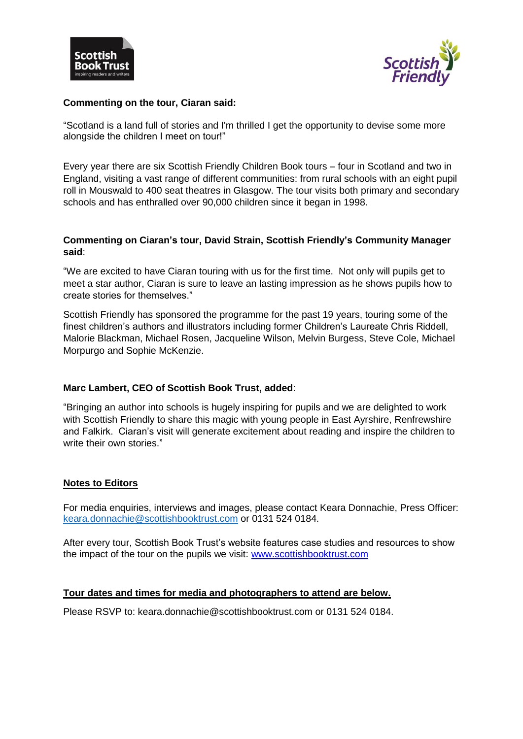



### **Commenting on the tour, Ciaran said:**

"Scotland is a land full of stories and I'm thrilled I get the opportunity to devise some more alongside the children I meet on tour!"

Every year there are six Scottish Friendly Children Book tours – four in Scotland and two in England, visiting a vast range of different communities: from rural schools with an eight pupil roll in Mouswald to 400 seat theatres in Glasgow. The tour visits both primary and secondary schools and has enthralled over 90,000 children since it began in 1998.

### **Commenting on Ciaran's tour, David Strain, Scottish Friendly's Community Manager said**:

"We are excited to have Ciaran touring with us for the first time. Not only will pupils get to meet a star author, Ciaran is sure to leave an lasting impression as he shows pupils how to create stories for themselves."

Scottish Friendly has sponsored the programme for the past 19 years, touring some of the finest children's authors and illustrators including former Children's Laureate Chris Riddell, Malorie Blackman, Michael Rosen, Jacqueline Wilson, Melvin Burgess, Steve Cole, Michael Morpurgo and Sophie McKenzie.

### **Marc Lambert, CEO of Scottish Book Trust, added**:

"Bringing an author into schools is hugely inspiring for pupils and we are delighted to work with Scottish Friendly to share this magic with young people in East Ayrshire, Renfrewshire and Falkirk. Ciaran's visit will generate excitement about reading and inspire the children to write their own stories."

### **Notes to Editors**

For media enquiries, interviews and images, please contact Keara Donnachie, Press Officer: [keara.donnachie@scottishbooktrust.com](mailto:keara.donnachie@scottishbooktrust.com) or 0131 524 0184.

After every tour, Scottish Book Trust's website features case studies and resources to show the impact of the tour on the pupils we visit: [www.scottishbooktrust.com](http://www.scottishbooktrust.com/)

### **Tour dates and times for media and photographers to attend are below.**

Please RSVP to: keara.donnachie@scottishbooktrust.com or 0131 524 0184.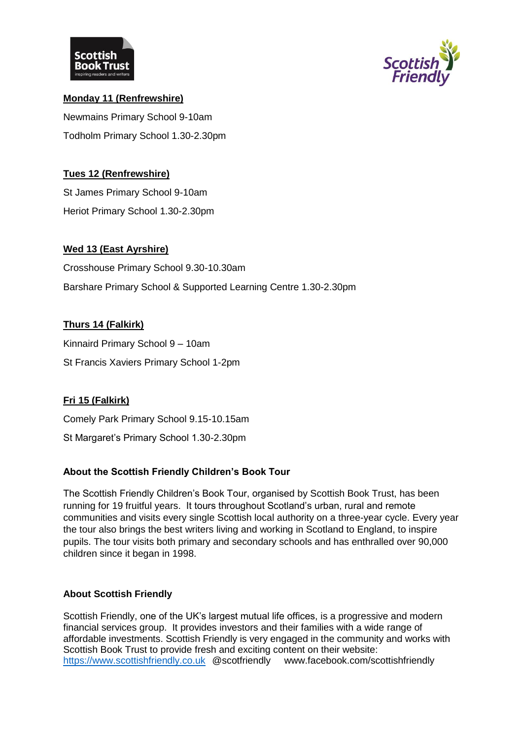



# **Monday 11 (Renfrewshire)** Newmains Primary School 9-10am Todholm Primary School 1.30-2.30pm

### **Tues 12 (Renfrewshire)**

St James Primary School 9-10am Heriot Primary School 1.30-2.30pm

### **Wed 13 (East Ayrshire)**

Crosshouse Primary School 9.30-10.30am Barshare Primary School & Supported Learning Centre 1.30-2.30pm

### **Thurs 14 (Falkirk)**

Kinnaird Primary School 9 – 10am St Francis Xaviers Primary School 1-2pm

# **Fri 15 (Falkirk)**

Comely Park Primary School 9.15-10.15am

St Margaret's Primary School 1.30-2.30pm

# **About the Scottish Friendly Children's Book Tour**

The Scottish Friendly Children's Book Tour, organised by Scottish Book Trust, has been running for 19 fruitful years. It tours throughout Scotland's urban, rural and remote communities and visits every single Scottish local authority on a three-year cycle. Every year the tour also brings the best writers living and working in Scotland to England, to inspire pupils. The tour visits both primary and secondary schools and has enthralled over 90,000 children since it began in 1998.

### **About Scottish Friendly**

Scottish Friendly, one of the UK's largest mutual life offices, is a progressive and modern financial services group. It provides investors and their families with a wide range of affordable investments. Scottish Friendly is very engaged in the community and works with Scottish Book Trust to provide fresh and exciting content on their website: [https://www.scottishfriendly.co.uk](https://www.scottishfriendly.co.uk/) @scotfriendly www.facebook.com/scottishfriendly